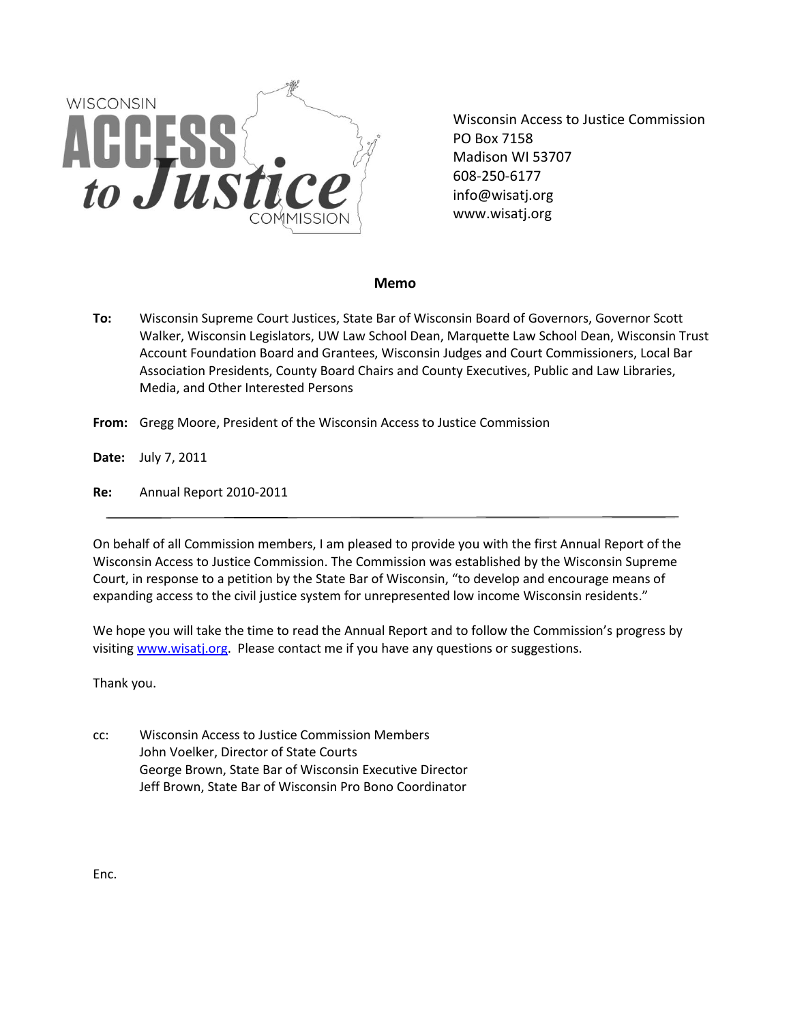

Wisconsin Access to Justice Commission PO Box 7158 Madison WI 53707 608-250-6177 info@wisatj.org www.wisatj.org

## **Memo**

- **To:** Wisconsin Supreme Court Justices, State Bar of Wisconsin Board of Governors, Governor Scott Walker, Wisconsin Legislators, UW Law School Dean, Marquette Law School Dean, Wisconsin Trust Account Foundation Board and Grantees, Wisconsin Judges and Court Commissioners, Local Bar Association Presidents, County Board Chairs and County Executives, Public and Law Libraries, Media, and Other Interested Persons
- **From:** Gregg Moore, President of the Wisconsin Access to Justice Commission

**Date:** July 7, 2011

**Re:** Annual Report 2010-2011

On behalf of all Commission members, I am pleased to provide you with the first Annual Report of the Wisconsin Access to Justice Commission. The Commission was established by the Wisconsin Supreme Court, in response to a petition by the State Bar of Wisconsin, "to develop and encourage means of expanding access to the civil justice system for unrepresented low income Wisconsin residents."

We hope you will take the time to read the Annual Report and to follow the Commission's progress by visiting [www.wisatj.org.](http://www.wisatj.org/) Please contact me if you have any questions or suggestions.

Thank you.

cc: Wisconsin Access to Justice Commission Members John Voelker, Director of State Courts George Brown, State Bar of Wisconsin Executive Director Jeff Brown, State Bar of Wisconsin Pro Bono Coordinator

Enc.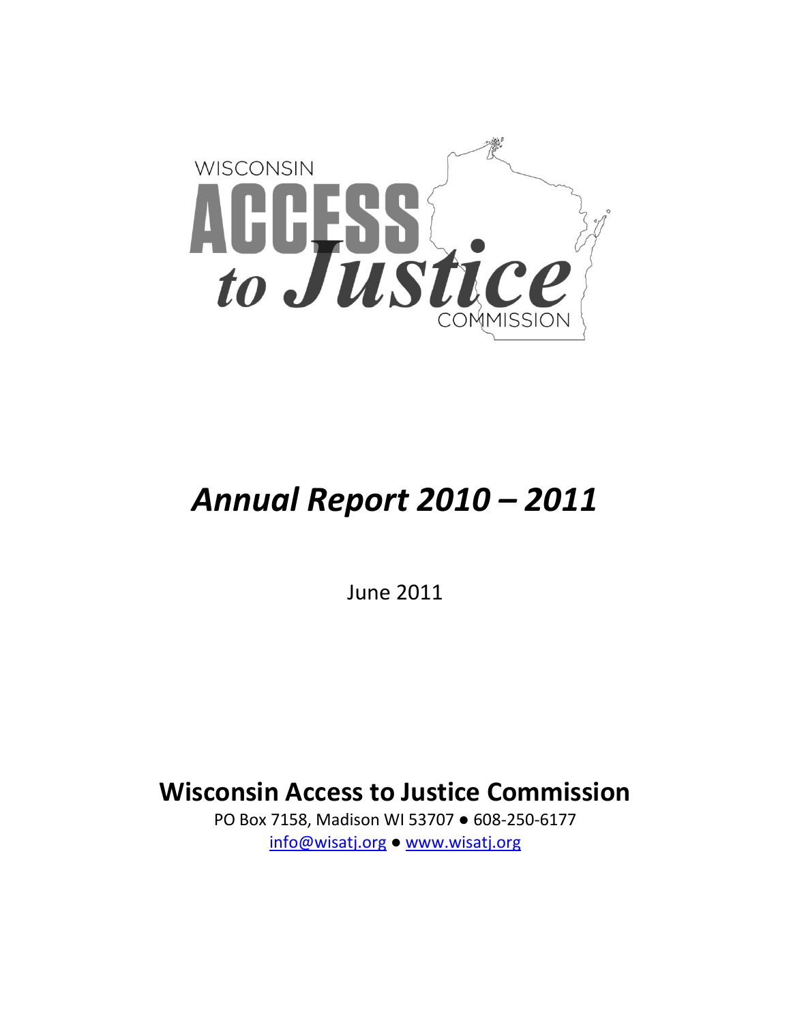

# *Annual Report 2010 – 2011*

June 2011

**Wisconsin Access to Justice Commission**

PO Box 7158, Madison WI 53707 ● 608-250-6177 [info@wisatj.org](mailto:info@wisatj.org) ● [www.wisatj.org](http://www.wisatj.org/)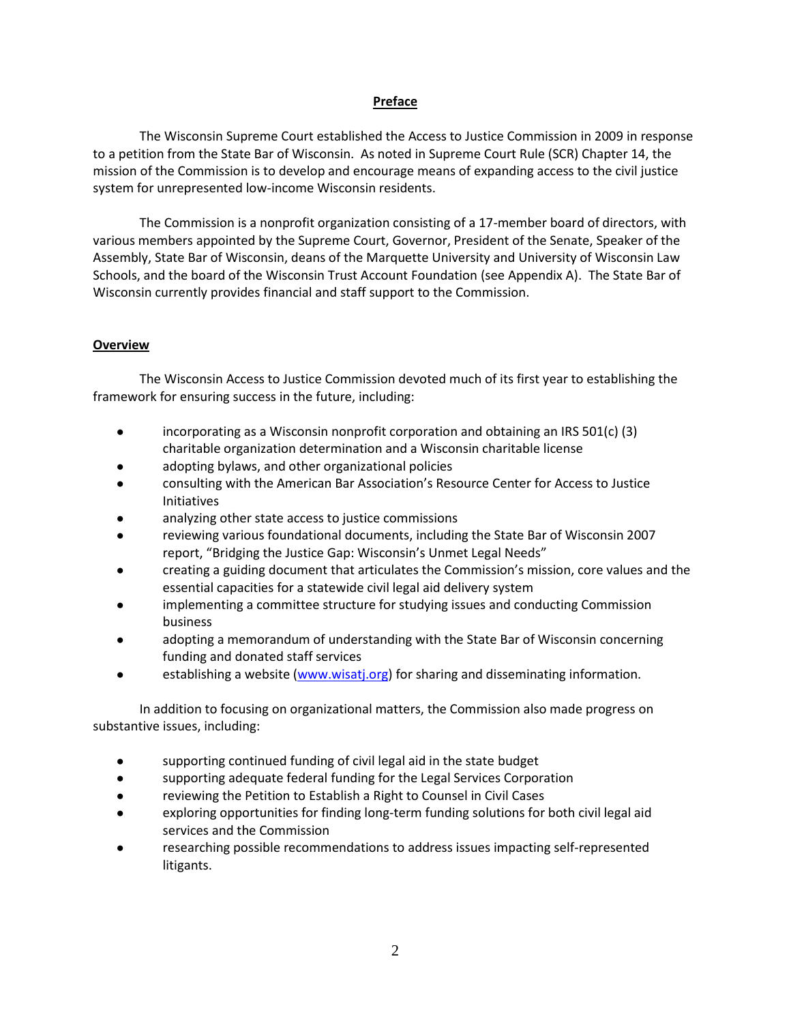## **Preface**

The Wisconsin Supreme Court established the Access to Justice Commission in 2009 in response to a petition from the State Bar of Wisconsin. As noted in Supreme Court Rule (SCR) Chapter 14, the mission of the Commission is to develop and encourage means of expanding access to the civil justice system for unrepresented low-income Wisconsin residents.

The Commission is a nonprofit organization consisting of a 17-member board of directors, with various members appointed by the Supreme Court, Governor, President of the Senate, Speaker of the Assembly, State Bar of Wisconsin, deans of the Marquette University and University of Wisconsin Law Schools, and the board of the Wisconsin Trust Account Foundation (see Appendix A). The State Bar of Wisconsin currently provides financial and staff support to the Commission.

# **Overview**

The Wisconsin Access to Justice Commission devoted much of its first year to establishing the framework for ensuring success in the future, including:

- **•** incorporating as a Wisconsin nonprofit corporation and obtaining an IRS 501(c) (3) charitable organization determination and a Wisconsin charitable license
- adopting bylaws, and other organizational policies
- consulting with the American Bar Association's Resource Center for Access to Justice Initiatives
- analyzing other state access to justice commissions
- reviewing various foundational documents, including the State Bar of Wisconsin 2007 report, "Bridging the Justice Gap: Wisconsin's Unmet Legal Needs"
- creating a guiding document that articulates the Commission's mission, core values and the essential capacities for a statewide civil legal aid delivery system
- implementing a committee structure for studying issues and conducting Commission business
- adopting a memorandum of understanding with the State Bar of Wisconsin concerning funding and donated staff services
- establishing a website [\(www.wisatj.org\)](http://www.wisatj.org/) for sharing and disseminating information.

In addition to focusing on organizational matters, the Commission also made progress on substantive issues, including:

- supporting continued funding of civil legal aid in the state budget
- supporting adequate federal funding for the Legal Services Corporation
- reviewing the Petition to Establish a Right to Counsel in Civil Cases
- exploring opportunities for finding long-term funding solutions for both civil legal aid services and the Commission
- researching possible recommendations to address issues impacting self-represented litigants.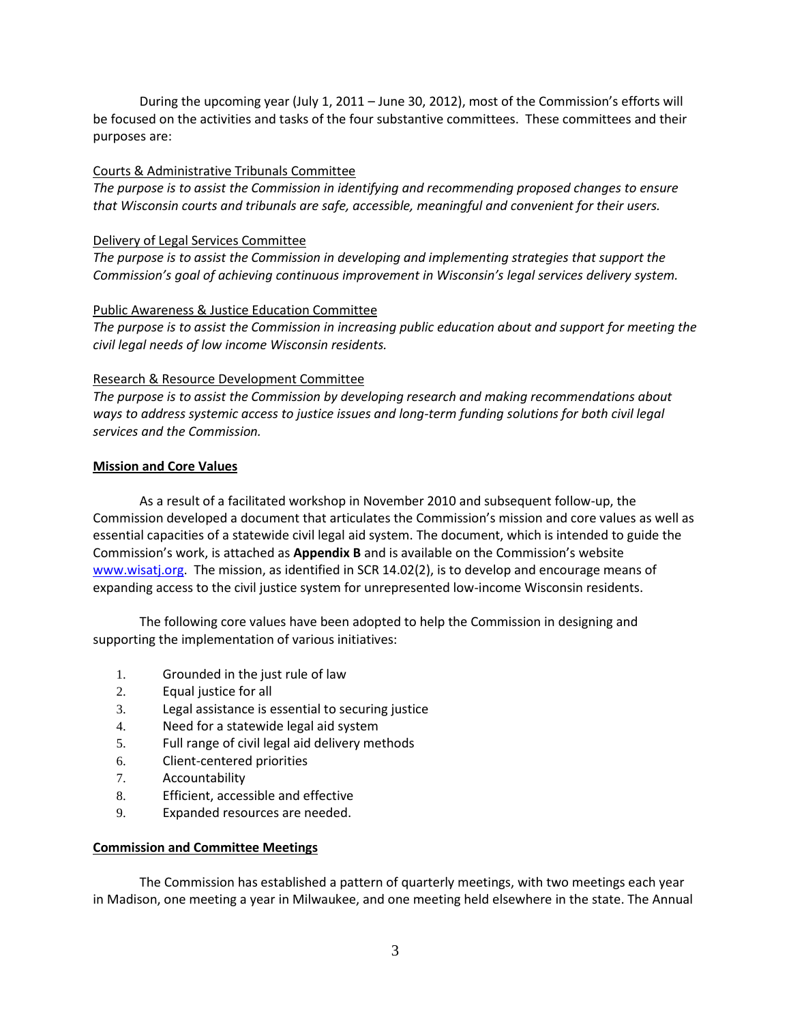During the upcoming year (July 1, 2011 – June 30, 2012), most of the Commission's efforts will be focused on the activities and tasks of the four substantive committees. These committees and their purposes are:

# Courts & Administrative Tribunals Committee

*The purpose is to assist the Commission in identifying and recommending proposed changes to ensure that Wisconsin courts and tribunals are safe, accessible, meaningful and convenient for their users.*

# Delivery of Legal Services Committee

*The purpose is to assist the Commission in developing and implementing strategies that support the Commission's goal of achieving continuous improvement in Wisconsin's legal services delivery system.*

# Public Awareness & Justice Education Committee

*The purpose is to assist the Commission in increasing public education about and support for meeting the civil legal needs of low income Wisconsin residents.*

# Research & Resource Development Committee

*The purpose is to assist the Commission by developing research and making recommendations about ways to address systemic access to justice issues and long-term funding solutions for both civil legal services and the Commission.*

# **Mission and Core Values**

As a result of a facilitated workshop in November 2010 and subsequent follow-up, the Commission developed a document that articulates the Commission's mission and core values as well as essential capacities of a statewide civil legal aid system. The document, which is intended to guide the Commission's work, is attached as **Appendix B** and is available on the Commission's website [www.wisatj.org.](http://www.wisatj.org/) The mission, as identified in SCR 14.02(2), is to develop and encourage means of expanding access to the civil justice system for unrepresented low-income Wisconsin residents.

The following core values have been adopted to help the Commission in designing and supporting the implementation of various initiatives:

- 1. Grounded in the just rule of law
- 2. Equal justice for all
- 3. Legal assistance is essential to securing justice
- 4. Need for a statewide legal aid system
- 5. Full range of civil legal aid delivery methods
- 6. Client-centered priorities
- 7. Accountability
- 8. Efficient, accessible and effective
- 9. Expanded resources are needed.

# **Commission and Committee Meetings**

The Commission has established a pattern of quarterly meetings, with two meetings each year in Madison, one meeting a year in Milwaukee, and one meeting held elsewhere in the state. The Annual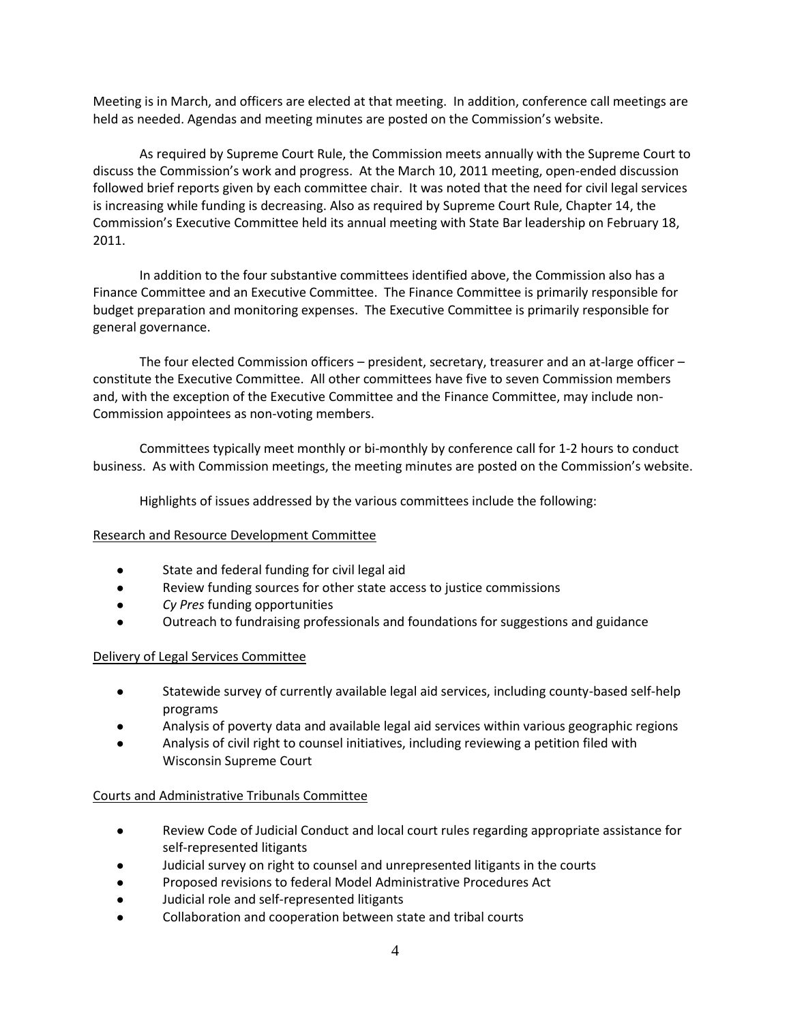Meeting is in March, and officers are elected at that meeting. In addition, conference call meetings are held as needed. Agendas and meeting minutes are posted on the Commission's website.

As required by Supreme Court Rule, the Commission meets annually with the Supreme Court to discuss the Commission's work and progress. At the March 10, 2011 meeting, open-ended discussion followed brief reports given by each committee chair. It was noted that the need for civil legal services is increasing while funding is decreasing. Also as required by Supreme Court Rule, Chapter 14, the Commission's Executive Committee held its annual meeting with State Bar leadership on February 18, 2011.

In addition to the four substantive committees identified above, the Commission also has a Finance Committee and an Executive Committee. The Finance Committee is primarily responsible for budget preparation and monitoring expenses. The Executive Committee is primarily responsible for general governance.

The four elected Commission officers – president, secretary, treasurer and an at-large officer – constitute the Executive Committee. All other committees have five to seven Commission members and, with the exception of the Executive Committee and the Finance Committee, may include non-Commission appointees as non-voting members.

Committees typically meet monthly or bi-monthly by conference call for 1-2 hours to conduct business. As with Commission meetings, the meeting minutes are posted on the Commission's website.

Highlights of issues addressed by the various committees include the following:

# Research and Resource Development Committee

- State and federal funding for civil legal aid
- Review funding sources for other state access to justice commissions
- *Cy Pres* funding opportunities
- Outreach to fundraising professionals and foundations for suggestions and guidance

# Delivery of Legal Services Committee

- Statewide survey of currently available legal aid services, including county-based self-help programs
- Analysis of poverty data and available legal aid services within various geographic regions
- Analysis of civil right to counsel initiatives, including reviewing a petition filed with Wisconsin Supreme Court

# Courts and Administrative Tribunals Committee

- Review Code of Judicial Conduct and local court rules regarding appropriate assistance for self-represented litigants
- Judicial survey on right to counsel and unrepresented litigants in the courts
- Proposed revisions to federal Model Administrative Procedures Act
- Judicial role and self-represented litigants
- Collaboration and cooperation between state and tribal courts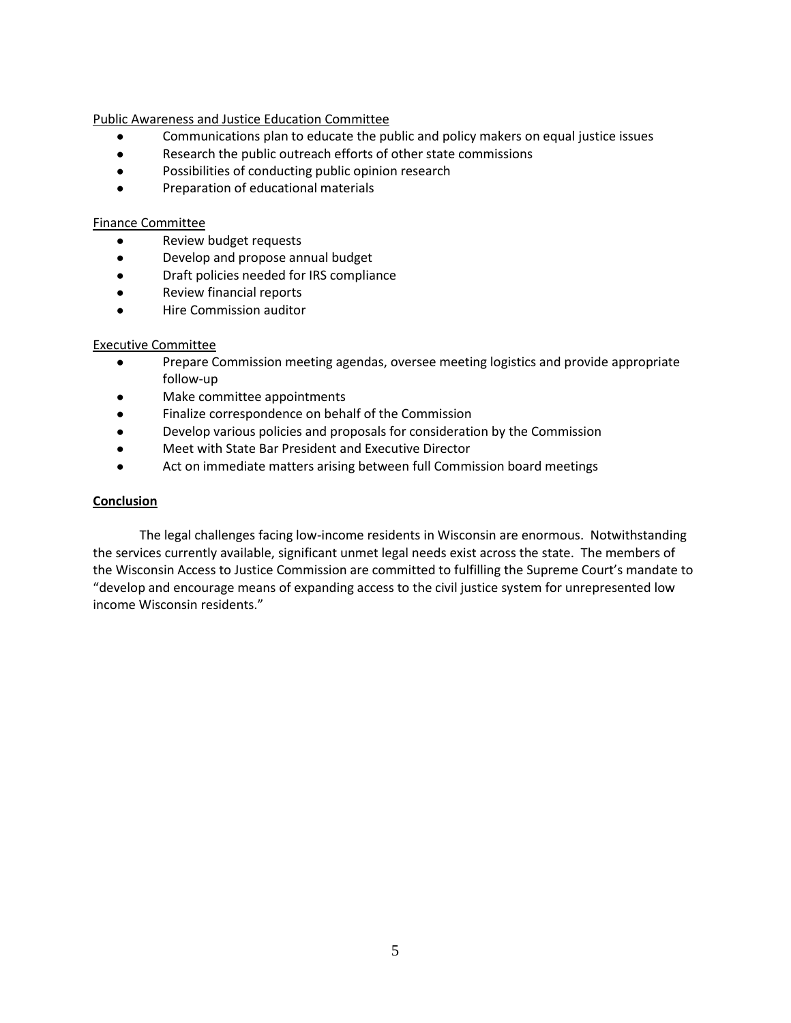Public Awareness and Justice Education Committee

- Communications plan to educate the public and policy makers on equal justice issues
- Research the public outreach efforts of other state commissions
- Possibilities of conducting public opinion research
- Preparation of educational materials

## Finance Committee

- Review budget requests
- Develop and propose annual budget
- Draft policies needed for IRS compliance
- Review financial reports
- Hire Commission auditor

## Executive Committee

- Prepare Commission meeting agendas, oversee meeting logistics and provide appropriate follow-up
- Make committee appointments
- Finalize correspondence on behalf of the Commission
- Develop various policies and proposals for consideration by the Commission
- Meet with State Bar President and Executive Director
- Act on immediate matters arising between full Commission board meetings

# **Conclusion**

The legal challenges facing low-income residents in Wisconsin are enormous. Notwithstanding the services currently available, significant unmet legal needs exist across the state. The members of the Wisconsin Access to Justice Commission are committed to fulfilling the Supreme Court's mandate to "develop and encourage means of expanding access to the civil justice system for unrepresented low income Wisconsin residents."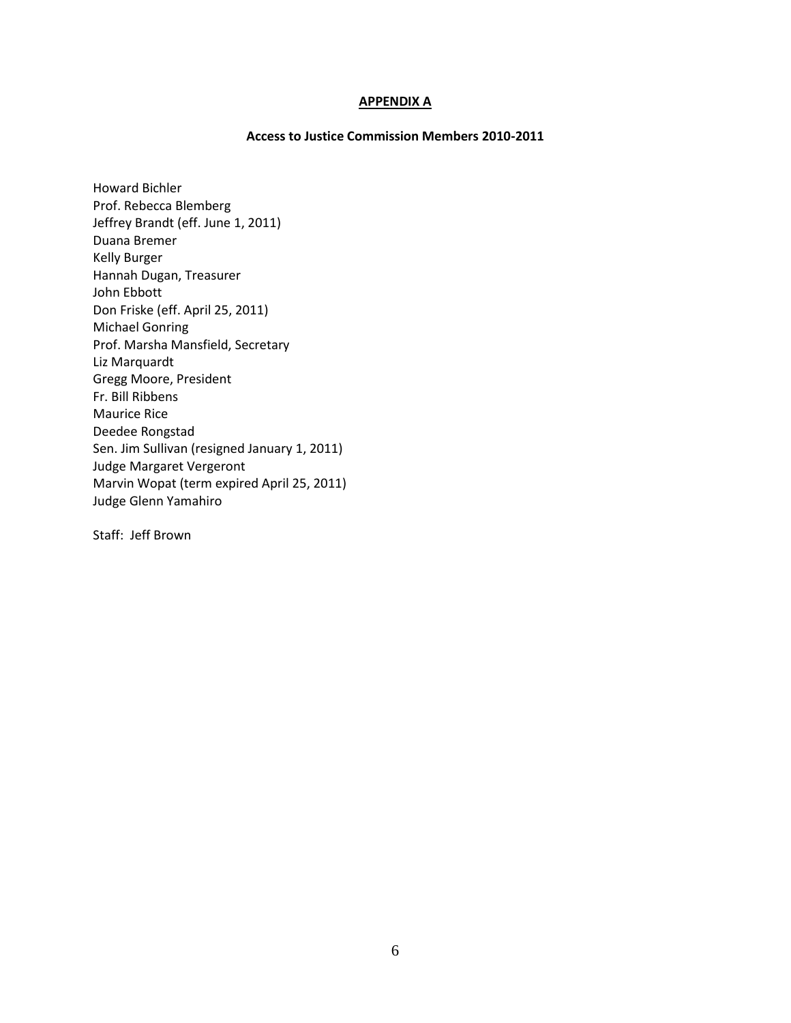## **APPENDIX A**

## **Access to Justice Commission Members 2010-2011**

Howard Bichler Prof. Rebecca Blemberg Jeffrey Brandt (eff. June 1, 2011) Duana Bremer Kelly Burger Hannah Dugan, Treasurer John Ebbott Don Friske (eff. April 25, 2011) Michael Gonring Prof. Marsha Mansfield, Secretary Liz Marquardt Gregg Moore, President Fr. Bill Ribbens Maurice Rice Deedee Rongstad Sen. Jim Sullivan (resigned January 1, 2011) Judge Margaret Vergeront Marvin Wopat (term expired April 25, 2011) Judge Glenn Yamahiro

Staff: Jeff Brown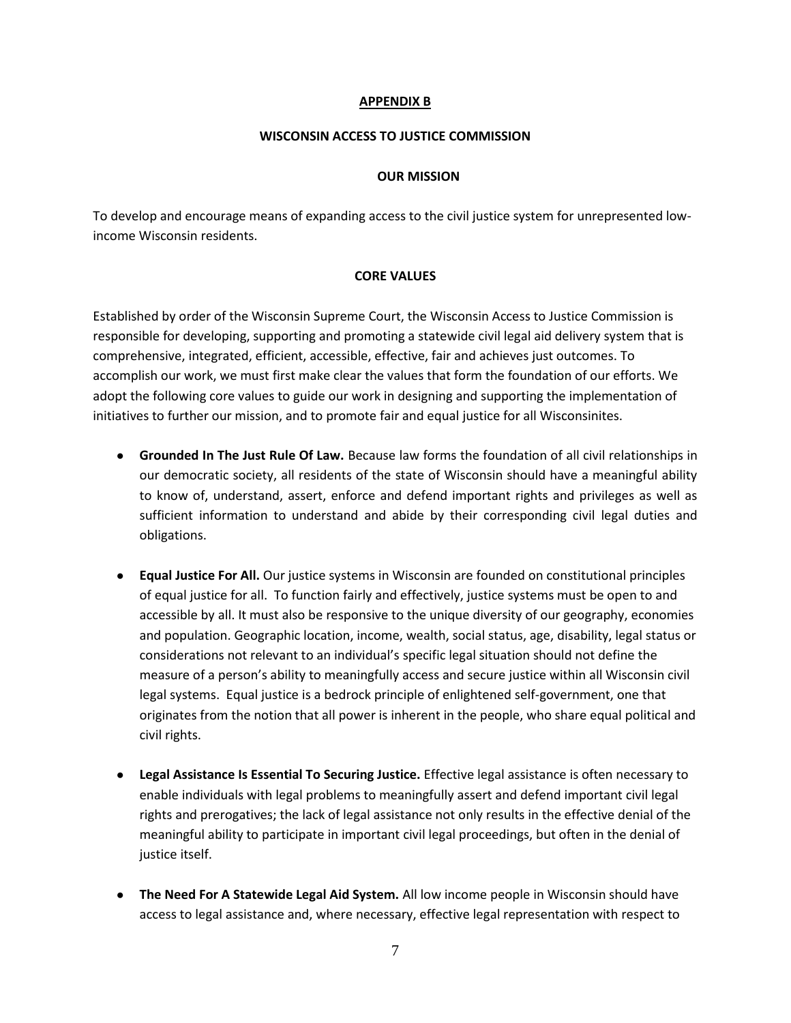## **APPENDIX B**

## **WISCONSIN ACCESS TO JUSTICE COMMISSION**

#### **OUR MISSION**

To develop and encourage means of expanding access to the civil justice system for unrepresented lowincome Wisconsin residents.

#### **CORE VALUES**

Established by order of the Wisconsin Supreme Court, the Wisconsin Access to Justice Commission is responsible for developing, supporting and promoting a statewide civil legal aid delivery system that is comprehensive, integrated, efficient, accessible, effective, fair and achieves just outcomes. To accomplish our work, we must first make clear the values that form the foundation of our efforts. We adopt the following core values to guide our work in designing and supporting the implementation of initiatives to further our mission, and to promote fair and equal justice for all Wisconsinites.

- **Grounded In The Just Rule Of Law.** Because law forms the foundation of all civil relationships in our democratic society, all residents of the state of Wisconsin should have a meaningful ability to know of, understand, assert, enforce and defend important rights and privileges as well as sufficient information to understand and abide by their corresponding civil legal duties and obligations.
- **Equal Justice For All.** Our justice systems in Wisconsin are founded on constitutional principles of equal justice for all. To function fairly and effectively, justice systems must be open to and accessible by all. It must also be responsive to the unique diversity of our geography, economies and population. Geographic location, income, wealth, social status, age, disability, legal status or considerations not relevant to an individual's specific legal situation should not define the measure of a person's ability to meaningfully access and secure justice within all Wisconsin civil legal systems. Equal justice is a bedrock principle of enlightened self-government, one that originates from the notion that all power is inherent in the people, who share equal political and civil rights.
- **Legal Assistance Is Essential To Securing Justice.** Effective legal assistance is often necessary to enable individuals with legal problems to meaningfully assert and defend important civil legal rights and prerogatives; the lack of legal assistance not only results in the effective denial of the meaningful ability to participate in important civil legal proceedings, but often in the denial of justice itself.
- **The Need For A Statewide Legal Aid System.** All low income people in Wisconsin should have access to legal assistance and, where necessary, effective legal representation with respect to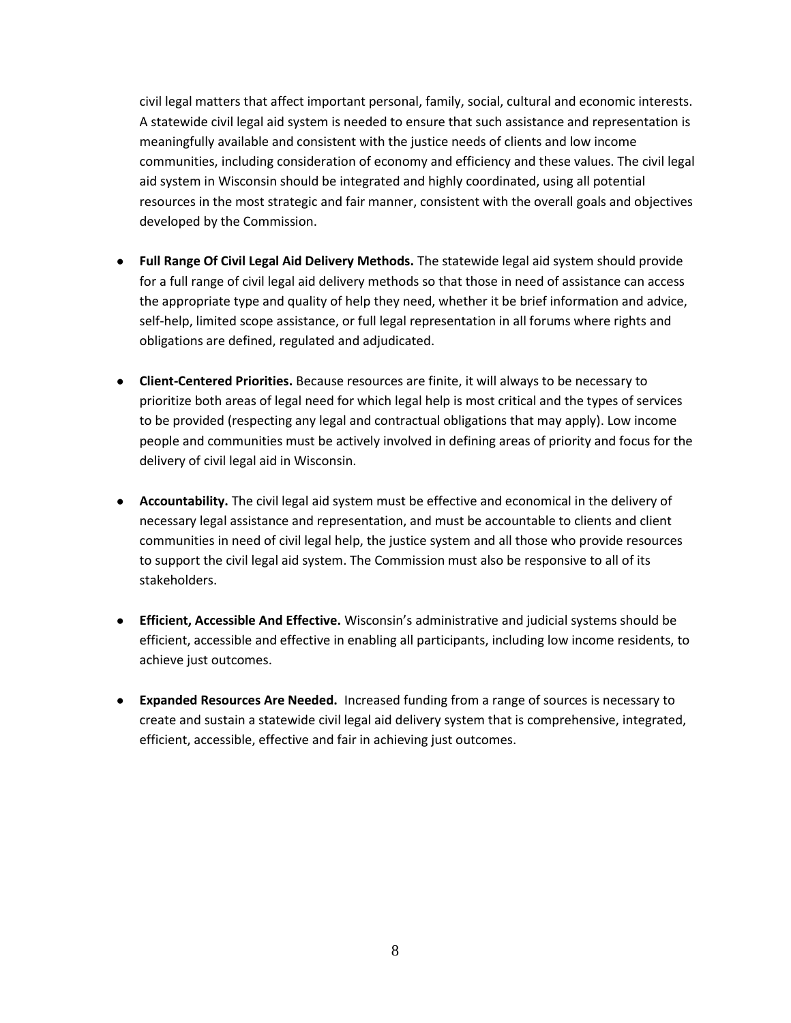civil legal matters that affect important personal, family, social, cultural and economic interests. A statewide civil legal aid system is needed to ensure that such assistance and representation is meaningfully available and consistent with the justice needs of clients and low income communities, including consideration of economy and efficiency and these values. The civil legal aid system in Wisconsin should be integrated and highly coordinated, using all potential resources in the most strategic and fair manner, consistent with the overall goals and objectives developed by the Commission.

- **Full Range Of Civil Legal Aid Delivery Methods.** The statewide legal aid system should provide for a full range of civil legal aid delivery methods so that those in need of assistance can access the appropriate type and quality of help they need, whether it be brief information and advice, self-help, limited scope assistance, or full legal representation in all forums where rights and obligations are defined, regulated and adjudicated.
- **Client-Centered Priorities.** Because resources are finite, it will always to be necessary to prioritize both areas of legal need for which legal help is most critical and the types of services to be provided (respecting any legal and contractual obligations that may apply). Low income people and communities must be actively involved in defining areas of priority and focus for the delivery of civil legal aid in Wisconsin.
- **Accountability.** The civil legal aid system must be effective and economical in the delivery of necessary legal assistance and representation, and must be accountable to clients and client communities in need of civil legal help, the justice system and all those who provide resources to support the civil legal aid system. The Commission must also be responsive to all of its stakeholders.
- **Efficient, Accessible And Effective.** Wisconsin's administrative and judicial systems should be efficient, accessible and effective in enabling all participants, including low income residents, to achieve just outcomes.
- **Expanded Resources Are Needed.** Increased funding from a range of sources is necessary to create and sustain a statewide civil legal aid delivery system that is comprehensive, integrated, efficient, accessible, effective and fair in achieving just outcomes.